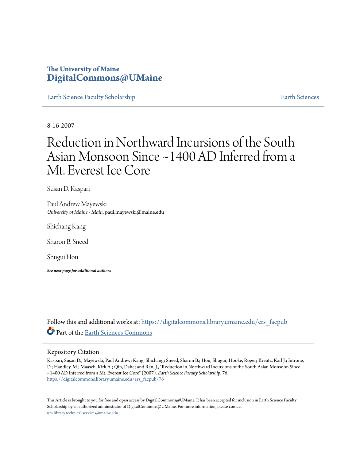## **The University of Maine [DigitalCommons@UMaine](https://digitalcommons.library.umaine.edu?utm_source=digitalcommons.library.umaine.edu%2Fers_facpub%2F76&utm_medium=PDF&utm_campaign=PDFCoverPages)**

[Earth Science Faculty Scholarship](https://digitalcommons.library.umaine.edu/ers_facpub?utm_source=digitalcommons.library.umaine.edu%2Fers_facpub%2F76&utm_medium=PDF&utm_campaign=PDFCoverPages) **[Earth Sciences](https://digitalcommons.library.umaine.edu/ers?utm_source=digitalcommons.library.umaine.edu%2Fers_facpub%2F76&utm_medium=PDF&utm_campaign=PDFCoverPages)** 

8-16-2007

# Reduction in Northward Incursions of the South Asian Monsoon Since ~1400 AD Inferred from a Mt. Everest Ice Core

Susan D. Kaspari

Paul Andrew Mayewski *University of Maine - Main*, paul.mayewski@maine.edu

Shichang Kang

Sharon B. Sneed

Shugui Hou

*See next page for additional authors*

Follow this and additional works at: [https://digitalcommons.library.umaine.edu/ers\\_facpub](https://digitalcommons.library.umaine.edu/ers_facpub?utm_source=digitalcommons.library.umaine.edu%2Fers_facpub%2F76&utm_medium=PDF&utm_campaign=PDFCoverPages) Part of the [Earth Sciences Commons](http://network.bepress.com/hgg/discipline/153?utm_source=digitalcommons.library.umaine.edu%2Fers_facpub%2F76&utm_medium=PDF&utm_campaign=PDFCoverPages)

### Repository Citation

Kaspari, Susan D.; Mayewski, Paul Andrew; Kang, Shichang; Sneed, Sharon B.; Hou, Shugui; Hooke, Roger; Kreutz, Karl J.; Introne, D.; Handley, M.; Maasch, Kirk A.; Qin, Dahe; and Ren, J., "Reduction in Northward Incursions of the South Asian Monsoon Since ~1400 AD Inferred from a Mt. Everest Ice Core" (2007). *Earth Science Faculty Scholarship*. 76. [https://digitalcommons.library.umaine.edu/ers\\_facpub/76](https://digitalcommons.library.umaine.edu/ers_facpub/76?utm_source=digitalcommons.library.umaine.edu%2Fers_facpub%2F76&utm_medium=PDF&utm_campaign=PDFCoverPages)

This Article is brought to you for free and open access by DigitalCommons@UMaine. It has been accepted for inclusion in Earth Science Faculty Scholarship by an authorized administrator of DigitalCommons@UMaine. For more information, please contact [um.library.technical.services@maine.edu](mailto:um.library.technical.services@maine.edu).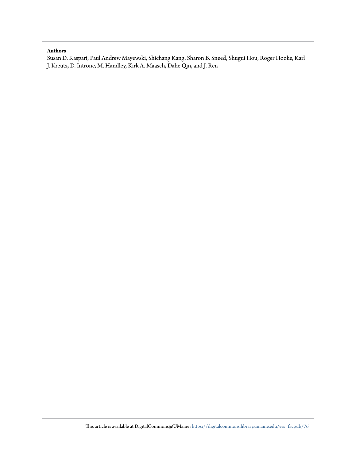### **Authors**

Susan D. Kaspari, Paul Andrew Mayewski, Shichang Kang, Sharon B. Sneed, Shugui Hou, Roger Hooke, Karl J. Kreutz, D. Introne, M. Handley, Kirk A. Maasch, Dahe Qin, and J. Ren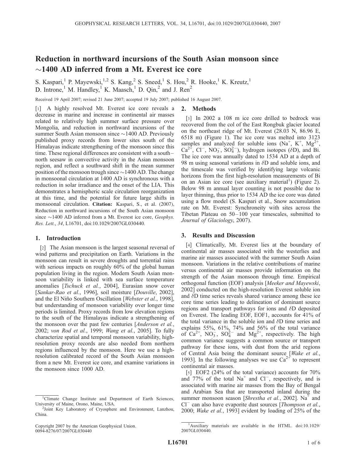### Reduction in northward incursions of the South Asian monsoon since  $\sim$ 1400 AD inferred from a Mt. Everest ice core

S. Kaspari,<sup>1</sup> P. Mayewski,<sup>1,2</sup> S. Kang,<sup>2</sup> S. Sneed,<sup>1</sup> S. Hou,<sup>2</sup> R. Hooke,<sup>1</sup> K. Kreutz,<sup>1</sup> D. Introne,<sup>1</sup> M. Handley,<sup>1</sup> K. Maasch,<sup>1</sup> D. Qin,<sup>2</sup> and J. Ren<sup>2</sup>

Received 19 April 2007; revised 21 June 2007; accepted 19 July 2007; published 16 August 2007.

2. Methods

[1] A highly resolved Mt. Everest ice core reveals a decrease in marine and increase in continental air masses related to relatively high summer surface pressure over Mongolia, and reduction in northward incursions of the summer South Asian monsoon since  $\sim$  1400 AD. Previously published proxy records from lower sites south of the Himalayas indicate strengthening of the monsoon since this time. These regional differences are consistent with a south – north seesaw in convective activity in the Asian monsoon region, and reflect a southward shift in the mean summer position of the monsoon trough since  $\sim$  1400 AD. The change in monsoonal circulation at 1400 AD is synchronous with a reduction in solar irradiance and the onset of the LIA. This demonstrates a hemispheric scale circulation reorganization at this time, and the potential for future large shifts in monsoonal circulation. Citation: Kaspari, S., et al. (2007), Reduction in northward incursions of the South Asian monsoon since  $\sim$ 1400 AD inferred from a Mt. Everest ice core, Geophys. Res. Lett., 34, L16701, doi:10.1029/2007GL030440.

### 1. Introduction

[2] The Asian monsoon is the largest seasonal reversal of wind patterns and precipitation on Earth. Variations in the monsoon can result in severe droughts and torrential rains with serious impacts on roughly 60% of the global human population living in the region. Modern South Asian monsoon variability is linked with sea surface temperature anomalies [Tschuck et al., 2004], Eurasian snow cover [Sankar-Rao et al., 1996], soil moisture [Douville, 2002], and the El Niño Southern Oscillation [Webster et al., 1998], but understanding of monsoon variability over longer time periods is limited. Proxy records from low elevation regions to the south of the Himalayas indicate a strengthening of the monsoon over the past few centuries [*Anderson et al.*, 2002; von Rod et al., 1999; Wang et al., 2005]. To fully characterize spatial and temporal monsoon variability, highresolution proxy records are also needed from northern regions influenced by the monsoon. Here we use a highresolution calibrated record of the South Asian monsoon from a new Mt. Everest ice core, and examine variations in the monsoon since 1000 AD.

[3] In 2002 a 108 m ice core drilled to bedrock was recovered from the col of the East Rongbuk glacier located on the northeast ridge of Mt. Everest (28.03 N, 86.96 E, 6518 m) (Figure 1). The ice core was melted into 3123 samples and analyzed for soluble ions (Na<sup>+</sup>, K<sup>+</sup>, Mg<sup>2+</sup>,  $Ca^{2+}$ , Cl<sup>-</sup>, NO<sub>3</sub>, SO<sub>4</sub><sup>-</sup>), hydrogen isotopes ( $\delta$ D), and Bi. The ice core was annually dated to 1534 AD at a depth of 98 m using seasonal variations in  $\delta$ D and soluble ions, and the timescale was verified by identifying large volcanic horizons from the first high-resolution measurements of Bi on an Asian ice core (see auxiliary material<sup>1</sup>) (Figure 2). Below 98 m annual layer counting is not possible due to layer thinning, thus prior to 1534 AD the ice core was dated using a flow model (S. Kaspari et al., Snow accumulation rate on Mt. Everest: Synchroneity with sites across the Tibetan Plateau on 50– 100 year timescales, submitted to Journal of Glaciology, 2007).

#### 3. Results and Discussion

[4] Climatically, Mt. Everest lies at the boundary of continental air masses associated with the westerlies and marine air masses associated with the summer South Asian monsoon. Variations in the relative contributions of marine versus continental air masses provide information on the strength of the Asian monsoon through time. Empirical orthogonal function (EOF) analysis [Meeker and Mayewski, 2002] conducted on the high-resolution Everest soluble ion and  $\delta$ D time series reveals shared variance among these ice core time series leading to delineation of dominant source regions and transport pathways for ions and  $\delta$ D deposited on Everest. The leading EOF, EOF1, accounts for 41% of the total variance in the soluble ion and  $\delta$ D time series and explains 55%, 61%, 74% and 56% of the total variance of  $Ca^{2+}$ , NO<sub>3</sub>, SO<sub>4</sub><sup>2</sup> and Mg<sup>2+</sup>, respectively. The high common variance suggests a common source or transport pathway for these ions, with dust from the arid regions of Central Asia being the dominant source [Wake et al., 1993]. In the following analyses we use  $Ca^{2+}$  to represent continental air masses.

[5] EOF2 (24% of the total variance) accounts for 70% and  $77\%$  of the total Na<sup>+</sup> and Cl<sup>-</sup>, respectively, and is associated with marine air masses from the Bay of Bengal and Arabian Sea that are transported inland during the summer monsoon season [*Shrestha et al.*, 2002]. Na<sup>+</sup> and Cl<sup>-</sup> can also have evaporite dust sources [Thompson et al., 2000; Wake et al., 1993] evident by loading of 25% of the

<sup>&</sup>lt;sup>1</sup>Climate Change Institute and Department of Earth Sciences, University of Maine, Orono, Maine, USA. <sup>2</sup>

<sup>&</sup>lt;sup>2</sup>Joint Key Laboratory of Cryosphere and Environment, Lanzhou, China.

Copyright 2007 by the American Geophysical Union. 0094-8276/07/2007GL030440

<sup>&</sup>lt;sup>1</sup>Auxiliary materials are available in the HTML. doi:10.1029/ 2007GL030440.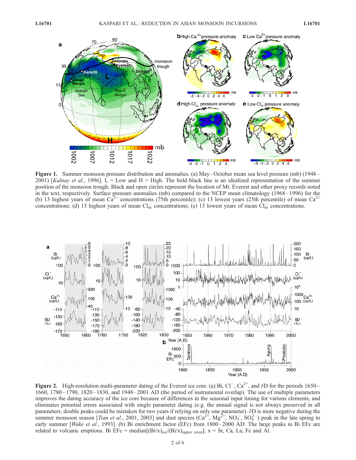

Figure 1. Summer monsoon pressure distribution and anomalies. (a) May –October mean sea level pressure (mb) (1948– 2001) [Kalnay et al., 1996]. L = Low and H = High. The bold black line is an idealized representation of the summer position of the monsoon trough. Black and open circles represent the location of Mt. Everest and other proxy records noted in the text, respectively. Surface pressure anomalies (mb) compared to the NCEP mean climatology (1968 –1996) for the (b) 13 highest years of mean  $Ca^{2+}$  concentrations (75th percentile); (c) 13 lowest years (25th percentile) of mean  $Ca^{2+}$ concentrations; (d) 13 highest years of mean  $Cl_m^-$  concentrations; (e) 13 lowest years of mean  $Cl_m^-$  concentrations.



Figure 2. High-resolution multi-parameter dating of the Everest ice core. (a) Bi,  $Cl^-$ ,  $Ca^{2+}$ , and  $\delta D$  for the periods 1650– 1660, 1780 – 1790, 1820 – 1830, and 1948– 2001 AD (the period of instrumental overlap). The use of multiple parameters improves the dating accuracy of the ice core because of differences in the seasonal input timing for various elements, and eliminates potential errors associated with single parameter dating (e.g. the annual signal is not always preserved in all parameters; double peaks could be mistaken for two years if relying on only one parameter).  $\delta D$  is more negative during the summer monsoon season [*Tian et al.*, 2001, 2003] and dust species  $(Ca^{2+}, Mg^{2+}, NO_3^-, SO_4^{2-})$  peak in the late spring to early summer [Wake et al., 1993]. (b) Bi enrichment factor (EFc) from 1800–2000 AD. The large peaks in Bi EFc are related to volcanic eruptions. Bi EFc = median $[(Bi/x)_{ice}/(Bi/x)_{upper \text{ crust}}]$ ; x = Sr, Ca, La, Fe and Al.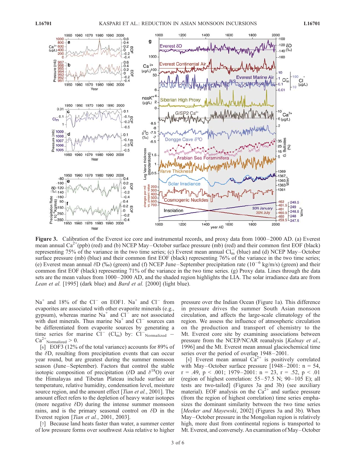

Figure 3. Calibration of the Everest ice core and instrumental records, and proxy data from 1000–2000 AD. (a) Everest mean annual  $Ca^{2+}(ppb)$  (red) and (b) NCEP May–October surface pressure (mb) (red) and their common first EOF (black) representing 75% of the variance in the two time series; (c) Everest mean annual  $Cl_m^-$  (blue) and (d) NCEP May–October surface pressure (mb) (blue) and their common first EOF (black) representing 76% of the variance in the two time series; (e) Everest mean annual  $\delta D$  (‰) (green) and (f) NCEP June–September precipitation rate (10<sup>-6</sup> kg/m/s) (green) and their common first EOF (black) representing 71% of the variance in the two time series. (g) Proxy data. Lines through the data sets are the mean values from 1000–2000 AD, and the shaded region highlights the LIA. The solar irradiance data are from Lean et al. [1995] (dark blue) and Bard et al. [2000] (light blue).

 $Na<sup>+</sup>$  and 18% of the Cl<sup>-</sup> on EOF1.  $Na<sup>+</sup>$  and Cl<sup>-</sup> from evaporites are associated with other evaporite minerals (e.g., gypsum), whereas marine  $\text{Na}^+$  and  $\text{Cl}^-$  are not associated with dust minerals. Thus marine  $Na^+$  and  $Cl^-$  sources can be differentiated from evaporite sources by generating a time series for marine  $CI^{-}$  ( $CI^{-}_{m}$ ) by:  $CI^{-}$  Normalized - $Ca^{2+}$ Normalized > 0.

[6] EOF3 (12% of the total variance) accounts for 89% of the  $\delta D$ , resulting from precipitation events that can occur year round, but are greatest during the summer monsoon season (June–September). Factors that control the stable isotopic composition of precipitation ( $\delta$ D and  $\delta^{18}$ O) over the Himalayas and Tibetan Plateau include surface air temperature, relative humidity, condensation level, moisture source region, and the amount effect [Tian et al., 2001]. The amount effect refers to the depletion of heavy water isotopes (more negative  $\delta D$ ) during the intense summer monsoon rains, and is the primary seasonal control on  $\delta$ D in the Everest region [Tian et al., 2001, 2003].

[7] Because land heats faster than water, a summer center of low pressure forms over southwest Asia relative to higher pressure over the Indian Ocean (Figure 1a). This difference in pressure drives the summer South Asian monsoon circulation, and affects the large-scale climatology of the region. We assess the influence of atmospheric circulation on the production and transport of chemistry to the Mt. Everest core site by examining associations between pressure from the NCEP/NCAR reanalysis [Kalnay et al., 1996] and the Mt. Everest mean annual glaciochemical time series over the period of overlap 1948 – 2001.

[8] Everest mean annual  $Ca^{2+}$  is positively correlated with May–October surface pressure  $[1948-2001: n = 54]$ ,  $r = .49$ ,  $p < .001$ ; 1979-2001:  $n = 23$ ,  $r = .52$ ,  $p < .01$ (region of highest correlation:  $55-57.5$  N;  $90-105$  E); all tests are two-tailed] (Figures 3a and 3b) (see auxiliary material). EOF analysis on the  $Ca^{2+}$  and surface pressure (from the region of highest correlation) time series emphasizes the dominant similarity between the two time series [Meeker and Mayewski, 2002] (Figures 3a and 3b). When May–October pressure in the Mongolian region is relatively high, more dust from continental regions is transported to Mt. Everest, and conversely. An examination of May–October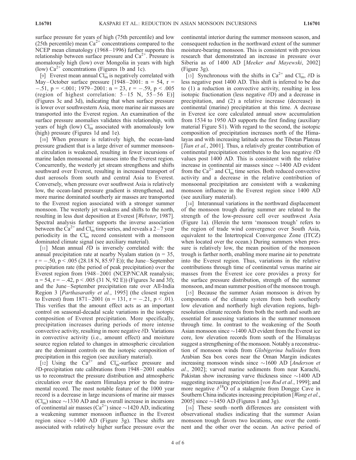surface pressure for years of high (75th percentile) and low (25th percentile) mean  $Ca^{2+}$  concentrations compared to the NCEP mean climatology (1968–1996) further supports this relationship between surface pressure and  $Ca^{2+}$ . Pressure is anomalously high (low) over Mongolia in years with high (low)  $Ca^{2+}$  concentrations (Figures 1b and 1c).

[9] Everest mean annual  $CI_m^-$  is negatively correlated with May-October surface pressure [1948–2001:  $n = 54$ ,  $r =$  $-.51, p = <.001; 1979 - 2001; n = 23, r = -.59, p < .005$ (region of highest correlation:  $5-15$  N,  $55-56$  E)] (Figures 3c and 3d), indicating that when surface pressure is lower over southwestern Asia, more marine air masses are transported into the Everest region. An examination of the surface pressure anomalies validates this relationship, with years of high (low)  $Cl_m^-$  associated with anomalously low (high) pressure (Figures 1d and 1e).

[10] When pressure is relatively high, the ocean-land pressure gradient that is a large driver of summer monsoonal circulation is weakened, resulting in fewer incursions of marine laden monsoonal air masses into the Everest region. Concurrently, the westerly jet stream strengthens and shifts southward over Everest, resulting in increased transport of dust aerosols from south and central Asia to Everest. Conversely, when pressure over southwest Asia is relatively low, the ocean-land pressure gradient is strengthened, and more marine dominated southerly air masses are transported to the Everest region associated with a stronger summer monsoon. The westerly jet weakens and shifts to the north, resulting in less dust deposition at Everest [Webster, 1987]. Spectral analysis further supports the inverse association between the  $\text{Ca}^{2+}$  and  $\text{Cl}_{m}^-$  time series, and reveals a 2–7 year periodicity in the  $Cl_m^-$  record consistent with a monsoon dominated climate signal (see auxiliary material).

[11] Mean annual  $\delta$ D is inversely correlated with: the annual precipitation rate at nearby Nyalam station ( $n = 35$ ,  $r = -.50, p < .005$  (28.18 N, 85.97 E)); the June–September precipitation rate (the period of peak precipitation) over the Everest region from 1948-2001 (NCEP/NCAR reanalysis;  $n = 54$ ,  $r = -.42$ ,  $p < .005$  (31 N, 92 E)) (Figures 3e and 3f); and the June–September precipitation rate over All-India Region 3 [Parthasarathy et al., 1995] (the closest region to Everest) from  $1871-2001$  (n = 131, r = -.21, p < .01). This verifies that the amount effect acts as an important control on seasonal-decadal scale variations in the isotopic composition of Everest precipitation. More specifically, precipitation increases during periods of more intense convective activity, resulting in more negative  $\delta$ D. Variations in convective activity (i.e., amount effect) and moisture source region related to changes in atmospheric circulation are the dominant controls on the isotopic composition of precipitation in this region (see auxiliary material).

[12] Using the  $Ca^{2+}$  and  $Cl_m^-$ -surface pressure and  $\delta$ D-precipitation rate calibrations from 1948–2001 enables us to reconstruct the pressure distribution and atmospheric circulation over the eastern Himalaya prior to the instrumental record. The most notable feature of the 1000 year record is a decrease in large incursions of marine air masses  $(Cl<sub>m</sub><sup>-</sup>)$  since  $\sim$ 1330 AD and an overall increase in incursions of continental air masses  $(Ca^{2+})$  since  $\sim$  1420 AD, indicating a weakening summer monsoon influence in the Everest region since  $\sim$ 1400 AD (Figure 3g). These shifts are associated with relatively higher surface pressure over the continental interior during the summer monsoon season, and consequent reduction in the northward extent of the summer moisture-bearing monsoon. This is consistent with previous research that demonstrated an increase in pressure over Siberia as of 1400 AD [Meeker and Mayewski, 2002] (Figure 3g).

[13] Synchronous with the shifts in Ca<sup>2+</sup> and Cl<sub>m</sub>,  $\delta$ D is less negative post 1400 AD. This shift is inferred to be due to (1) a reduction in convective activity, resulting in less isotopic fractionation (less negative  $\delta$ D) and a decrease in precipitation, and (2) a relative increase (decrease) in continental (marine) precipitation at this time. A decrease in Everest ice core calculated annual snow accumulation from 1534 to 1950 AD supports the first finding (auxiliary material Figure S1). With regard to the second, the isotopic composition of precipitation increases north of the Himalayas and with increasing latitude across the Tibetan Plateau [*Tian et al.*, 2001]. Thus, a relatively greater contribution of continental precipitation contributes to the less negative  $\delta$ D values post 1400 AD. This is consistent with the relative increase in continental air masses since  $\sim$ 1400 AD evident from the  $Ca^{2+}$  and  $Cl_m^-$  time series. Both reduced convective activity and a decrease in the relative contribution of monsoonal precipitation are consistent with a weakening monsoon influence in the Everest region since 1400 AD (see auxiliary material).

[14] Interannual variations in the northward displacement of the monsoon trough during summer are related to the strength of the low-pressure cell over southwest Asia (Figure 1a). (Herein the term 'monsoon trough' refers to the region of trade wind convergence over South Asia, equivalent to the Intertropical Convergence Zone (ITCZ) when located over the ocean.) During summers when pressure is relatively low, the mean position of the monsoon trough is farther north, enabling more marine air to penetrate into the Everest region. Thus, variations in the relative contributions through time of continental versus marine air masses from the Everest ice core provides a proxy for the surface pressure distribution, strength of the summer monsoon, and mean summer position of the monsoon trough.

[15] Because the summer Asian monsoon is driven by components of the climate system from both southerly low elevation and northerly high elevation regions, highresolution climate records from both the north and south are essential for assessing variations in the summer monsoon through time. In contrast to the weakening of the South Asian monsoon since  $\sim$  1400 AD evident from the Everest ice core, low elevation records from south of the Himalayas suggest a strengthening of the monsoon. Notably a reconstruction of monsoon winds from Globigerina bulloides from Arabian Sea box cores near the Oman Margin indicates increasing monsoon winds since  $\sim$ 1600 AD [*Anderson et* al., 2002]; varved marine sediments from near Karachi, Pakistan show increasing varve thickness since  $\sim$ 1400 AD suggesting increasing precipitation [von Rod et al., 1999]; and more negative  $\delta^{18}$ O of a stalagmite from Dongge Cave in Southern China indicates increasing precipitation [*Wang et al.*, 2005] since  $\sim$ 1450 AD (Figures 1 and 3g).

[16] These south-north differences are consistent with observational studies indicating that the summer Asian monsoon trough favors two locations, one over the continent and the other over the ocean. An active period of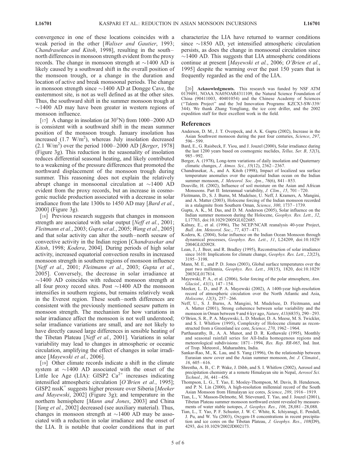convergence in one of these locations coincides with a weak period in the other [Waliser and Gautier, 1993; Chandrasekar and Kitoh, 1998], resulting in the southnorth differences in monsoon strength evident from the proxy records. The change in monsoon strength at  $\sim$ 1400 AD is likely caused by a southward shift in the overall position of the monsoon trough, or a change in the duration and location of active and break monsoonal periods. The change in monsoon strength since  $\sim$ 1400 AD at Dongge Cave, the easternmost site, is not as well defined as at the other sites. Thus, the southward shift in the summer monsoon trough at  $\sim$ 1400 AD may have been greater in western regions of monsoon influence.

[17] A change in insolation (at  $30^{\circ}$ N) from  $1000-2000$  AD is consistent with a southward shift in the mean summer position of the monsoon trough. January insolation has increased  $(1.7 \text{ W/m}^2)$ , whereas July insolation decreased  $(2.1 \text{ W/m}^2)$  over the period 1000–2000 AD [Berger, 1978] (Figure 3g). This reduction in the seasonality of insolation reduces differential seasonal heating, and likely contributed to a weakening of the pressure differences that promoted the northward displacement of the monsoon trough during summer. This reasoning does not explain the relatively abrupt change in monsoonal circulation at  $\sim$ 1400 AD evident from the proxy records, but an increase in cosmogenic nuclide production associated with a decrease in solar irradiance from the late 1300s to 1450 AD may [*Bard et al.*, 2000] (Figure 3g).

[18] Previous research suggests that changes in monsoon strength are associated with solar output [Neff et al., 2001; Fleitmann et al., 2003; Gupta et al., 2005; Wang et al., 2005] and that solar activity can alter the south – north seesaw of convective activity in the Indian region [Chandrasekar and Kitoh, 1998; Kodera, 2004]. During periods of high solar activity, increased equatorial convection results in increased monsoon strength in southern regions of monsoon influence [Neff et al., 2001; Fleitmann et al., 2003; Gupta et al., 2005]. Conversely, the decrease in solar irradiance at  $\sim$ 1400 AD coincides with reduced monsoon strength at all four proxy record sites. Post  $\sim$ 1400 AD the monsoon intensifies in southern regions, but remains relatively weak in the Everest region. These south-north differences are consistent with the previously mentioned seesaw pattern in monsoon strength. The mechanism for how variations in solar irradiance affect the monsoon is not well understood; solar irradiance variations are small, and are not likely to have directly caused large differences in sensible heating of the Tibetan Plateau [Neff et al., 2001]. Variations in solar variability may lead to changes in atmospheric or oceanic circulation, amplifying the effect of changes in solar irradiance [Mayewski et al., 2006].

[19] Other climate records indicate a shift in the climate system at  $\sim$ 1400 AD associated with the onset of the Little Ice Age (LIA): GISP2  $Ca^{2+}$  increases indicating intensified atmospheric circulation [O'Brien et al., 1995];  $GISP2$  nss $K^+$  suggests higher pressure over Siberia [*Meeker* and Mayewski, 2002] (Figure 3g); and temperature in the northern hemisphere [Mann and Jones, 2003] and China [*Yang et al.*, 2002] decreased (see auxiliary material). Thus, changes in monsoon strength at  $\sim$ 1400 AD may be associated with a reduction in solar irradiance and the onset of the LIA. It is notable that cooler conditions that in part

characterize the LIA have returned to warmer conditions since  $\sim$ 1850 AD, yet intensified atmospheric circulation persists, as does the change in monsoonal circulation since  $\sim$ 1400 AD. This suggests that LIA atmospheric conditions continue at present [Mayewski et al., 2006; O'Brien et al., 1995] despite the warming over the past 150 years that is frequently regarded as the end of the LIA.

[20] Acknowledgments. This research was funded by NSF ATM 0139491, NOAA NA05OAR4311109, the Natural Science Foundation of China (90411003, 40401054) and the Chinese Academy of Sciences (''Talents Project'' and the 3rd Innovation Programs: KZCX3-SW-339/ 344). We thank Zhang Yongliang, the ice core driller, and the 2002 expedition staff for their excellent work in the field.

#### References

- Anderson, D. M., J. T. Overpeck, and A. K. Gupta (2002), Increase in the Asian Southwest monsoon during the past four centuries, Science, 297, 596 – 599.
- Bard, E., G. Raisbeck, F. Yiou, and J. Jouzel (2000), Solar irradiance during the last 1200 years based on cosmogenic nuclides, Tellus, Ser. B, 52(3), 985 – 992.
- Berger, A. (1978), Long-term variations of daily insolation and Quaternary climatic changes, J. Atmos. Sci., 35(12), 2362 – 2367.
- Chandrasekar, A., and A. Kitoh (1998), Impact of localized sea surface temperature anomalies over the equatorial Indian ocean on the Indian summer monsoon, *J. Meteorol. Soc. Jpn.*, 76(6), 841-853.
- Douville, H. (2002), Influence of soil moisture on the Asian and African Monsoons. Part II: Interannual variability, J. Clim., 15, 701 – 720.
- Fleitmann, D., S. J. Burns, M. Mudelsee, U. Neff, J. Kramers, A. Mangini, and A. Matter (2003), Holocene forcing of the Indian monsoon recorded in a stalagmite from Southern Oman, Science, 300, 1737-1739.
- Gupta, A. K., M. Das, and D. M. Anderson (2005), Solar influence on the Indian summer monsoon during the Holocene, Geophys. Res. Lett., 32, L17703, doi:10.1029/2005GL022685.
- Kalnay, E., et al. (1996), The NCEP/NCAR reanalysis 40-year Project, Bull. Am. Meteorol. Soc., 77, 437 – 471.
- Kodera, K. (2004), Solar influence on the Indian Ocean Monsoon through dynamical processes, Geophys. Res. Lett., 31, L24209, doi:10.1029/ 2004GL020928.
- Lean, J., J. Beer, and R. Bradley (1995), Reconstruction of solar irradiance since 1610: Implications for climate change, Geophys. Res. Lett., 22(23), 3195 – 3198.
- Mann, M. E., and P. D. Jones (2003), Global surface temperatures over the past two millennia, Geophys. Res. Lett., 30(15), 1820, doi:10.1029/ 2003GL017814.
- Mayewski, P. A., et al. (2006), Solar forcing of the polar atmosphere, Ann.  $Glacial, 41(1), 147-154.$
- Meeker, L. D., and P. A. Mayewski (2002), A 1400-year high-resolution record of atmospheric circulation over the North Atlantic and Asia, Holocene, 12(3), 257-266.
- Neff, U., S. J. Burns, A. Mangini, M. Mudelsee, D. Fleitmann, and A. Matter (2001), Strong coherence between solar variability and the monsoon in Oman between 9 and 6 kyr ago, Nature, 411(6835), 290 – 293.
- O'Brien, S. R., P. A. Mayewski, L. D. Meeker, D. A. Meese, M. S. Twickler, and S. I. Whitlow (1995), Complexity of Holocene climate as reconstructed from a Greenland ice core, Science, 270, 1962-1964.
- Parthasarathy, B., A. A. Munot, and D. R. Kothawale (1995), Monthly and seasonal rainfall series for All-India homogenous regions and meteorological subdivisions: 1871 – 1994, Res. Rep. RR-065, Ind. Inst. of Trop. Meteorol., Maharashtra, India.
- Sankar-Rao, M., K. Lau, and S. Yang (1996), On the relationship between Eurasian snow cover and the Asian summer monsoon, Int. J. Climatol.,  $16.605 - 616.$
- Shrestha, A. B., C. P. Wake, J. Dibb, and S. I. Whitlow (2002), Aerosol and precipitation chemistry at a remote Himalayan site in Nepal, Aerosol Sci. Technol., 36, 441 – 456.
- Thompson, L. G., T. Yao, E. Mosley-Thompson, M. Davis, B. Henderson, and P. N. Lin (2000), A high-resolution millennial record of the South Asian Monsoon from Himalayan ice cores, Science, 289, 1916 – 1919.
- Tian, L., V. Masson-Delmotte, M. Stievenard, T. Yao, and J. Jouzel (2001), Tibetan Plateau summer monsoon northward extent revealed by measurements of water stable isotopes, *J. Geophys. Res.*, 106, 28,081–28,088.
- Tian, L., T. Yao, P. F. Schuster, J. W. C. White, K. Ichiyanagi, E. Pendall, J. Pu, and W. Yu (2003), Oxygen-18 concentrations in recent precipitation and ice cores on the Tibetan Plateau, J. Geophys. Res., 108(D9), 4293, doi:10.1029/2002JD002173.